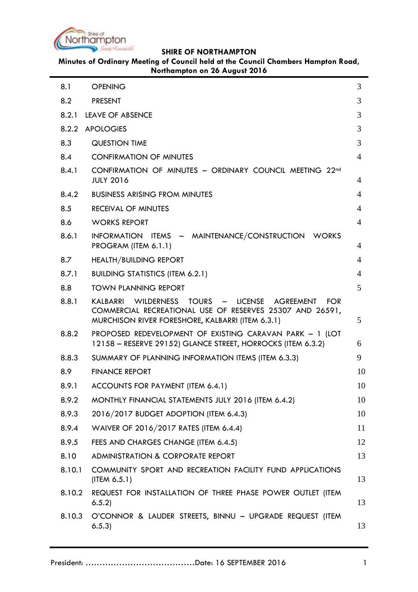

**Minutes of Ordinary Meeting of Council held at the Council Chambers Hampton Road, Northampton on 26 August 2016**

| 8.1    | <b>OPENING</b>                                                                                                                                                                 | 3              |
|--------|--------------------------------------------------------------------------------------------------------------------------------------------------------------------------------|----------------|
| 8.2    | <b>PRESENT</b>                                                                                                                                                                 | 3              |
| 8.2.1  | <b>LEAVE OF ABSENCE</b>                                                                                                                                                        | 3              |
| 8.2.2  | <b>APOLOGIES</b>                                                                                                                                                               | 3              |
| 8.3    | <b>QUESTION TIME</b>                                                                                                                                                           | 3              |
| 8.4    | <b>CONFIRMATION OF MINUTES</b>                                                                                                                                                 | $\overline{4}$ |
| 8.4.1  | CONFIRMATION OF MINUTES - ORDINARY COUNCIL MEETING 22nd<br><b>JULY 2016</b>                                                                                                    | 4              |
| 8.4.2  | <b>BUSINESS ARISING FROM MINUTES</b>                                                                                                                                           | 4              |
| 8.5    | <b>RECEIVAL OF MINUTES</b>                                                                                                                                                     | 4              |
| 8.6    | <b>WORKS REPORT</b>                                                                                                                                                            | 4              |
| 8.6.1  | INFORMATION ITEMS - MAINTENANCE/CONSTRUCTION WORKS<br>PROGRAM (ITEM 6.1.1)                                                                                                     | 4              |
| 8.7    | <b>HEALTH/BUILDING REPORT</b>                                                                                                                                                  | 4              |
| 8.7.1  | <b>BUILDING STATISTICS (ITEM 6.2.1)</b>                                                                                                                                        | 4              |
| 8.8    | <b>TOWN PLANNING REPORT</b>                                                                                                                                                    | 5              |
| 8.8.1  | KALBARRI WILDERNESS TOURS - LICENSE<br>AGREEMENT<br><b>FOR</b><br>COMMERCIAL RECREATIONAL USE OF RESERVES 25307 AND 26591,<br>MURCHISON RIVER FORESHORE, KALBARRI (ITEM 6.3.1) | 5              |
| 8.8.2  | PROPOSED REDEVELOPMENT OF EXISTING CARAVAN PARK - 1 (LOT<br>12158 - RESERVE 29152) GLANCE STREET, HORROCKS (ITEM 6.3.2)                                                        | 6              |
| 8.8.3  | SUMMARY OF PLANNING INFORMATION ITEMS (ITEM 6.3.3)                                                                                                                             | 9              |
| 8.9    | <b>FINANCE REPORT</b>                                                                                                                                                          | 10             |
| 8.9.1  | ACCOUNTS FOR PAYMENT (ITEM 6.4.1)                                                                                                                                              | 10             |
| 8.9.2  | MONTHLY FINANCIAL STATEMENTS JULY 2016 (ITEM 6.4.2)                                                                                                                            | 10             |
| 8.9.3  | 2016/2017 BUDGET ADOPTION (ITEM 6.4.3)                                                                                                                                         | 10             |
| 8.9.4  | WAIVER OF 2016/2017 RATES (ITEM 6.4.4)                                                                                                                                         | 11             |
| 8.9.5  | FEES AND CHARGES CHANGE (ITEM 6.4.5)                                                                                                                                           | 12             |
| 8.10   | <b>ADMINISTRATION &amp; CORPORATE REPORT</b>                                                                                                                                   | 13             |
| 8.10.1 | COMMUNITY SPORT AND RECREATION FACILITY FUND APPLICATIONS<br>$($ ITEM $6.5.1)$                                                                                                 | 13             |
| 8.10.2 | REQUEST FOR INSTALLATION OF THREE PHASE POWER OUTLET (ITEM<br>6.5.2                                                                                                            | 13             |
| 8.10.3 | O'CONNOR & LAUDER STREETS, BINNU - UPGRADE REQUEST (ITEM<br>6.5.3)                                                                                                             | 13             |
|        |                                                                                                                                                                                |                |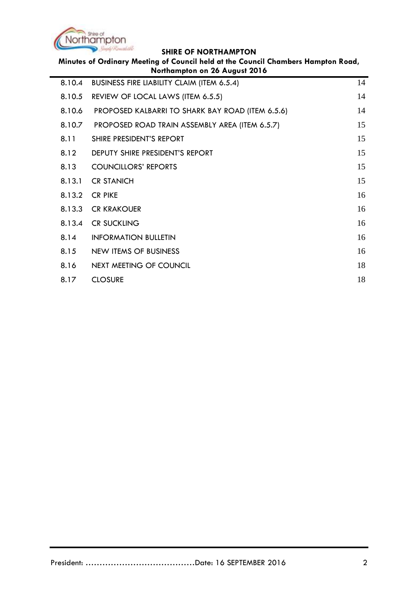

| Minutes of Ordinary Meeting of Council held at the Council Chambers Hampton Road,<br>Northampton on 26 August 2016 |                                                   |    |
|--------------------------------------------------------------------------------------------------------------------|---------------------------------------------------|----|
| 8.10.4                                                                                                             | <b>BUSINESS FIRE LIABILITY CLAIM (ITEM 6.5.4)</b> | 14 |
| 8.10.5                                                                                                             | REVIEW OF LOCAL LAWS (ITEM 6.5.5)                 | 14 |
| 8.10.6                                                                                                             | PROPOSED KALBARRI TO SHARK BAY ROAD (ITEM 6.5.6)  | 14 |
| 8.10.7                                                                                                             | PROPOSED ROAD TRAIN ASSEMBLY AREA (ITEM 6.5.7)    | 15 |
| 8.11                                                                                                               | SHIRE PRESIDENT'S REPORT                          | 15 |
| 8.12                                                                                                               | DEPUTY SHIRE PRESIDENT'S REPORT                   | 15 |
| 8.13                                                                                                               | <b>COUNCILLORS' REPORTS</b>                       | 15 |
| 8.13.1                                                                                                             | <b>CR STANICH</b>                                 | 15 |
| 8.13.2                                                                                                             | <b>CR PIKE</b>                                    | 16 |
| 8.13.3                                                                                                             | <b><i>CR KRAKOUER</i></b>                         | 16 |
| 8.13.4                                                                                                             | <b>CR SUCKLING</b>                                | 16 |
| 8.14                                                                                                               | <b>INFORMATION BULLETIN</b>                       | 16 |
| 8.15                                                                                                               | <b>NEW ITEMS OF BUSINESS</b>                      | 16 |
| 8.16                                                                                                               | <b>NEXT MEETING OF COUNCIL</b>                    | 18 |
| 8.17                                                                                                               | <b>CLOSURE</b>                                    | 18 |
|                                                                                                                    |                                                   |    |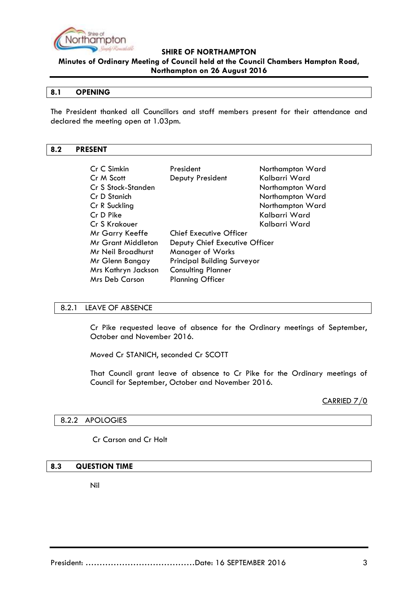

**Minutes of Ordinary Meeting of Council held at the Council Chambers Hampton Road, Northampton on 26 August 2016**

#### <span id="page-2-0"></span>**8.1 OPENING**

The President thanked all Councillors and staff members present for their attendance and declared the meeting open at 1.03pm.

#### <span id="page-2-1"></span>**8.2 PRESENT**

| President                                             | Northampton Ward               |
|-------------------------------------------------------|--------------------------------|
| Deputy President                                      | Kalbarri Ward                  |
|                                                       | Northampton Ward               |
|                                                       | Northampton Ward               |
|                                                       | Northampton Ward               |
|                                                       | Kalbarri Ward                  |
|                                                       | Kalbarri Ward                  |
| <b>Chief Executive Officer</b>                        |                                |
|                                                       |                                |
| <b>Manager of Works</b>                               |                                |
| <b>Principal Building Surveyor</b><br>Mr Glenn Bangay |                                |
| <b>Consulting Planner</b>                             |                                |
| <b>Planning Officer</b>                               |                                |
|                                                       | Deputy Chief Executive Officer |

#### <span id="page-2-2"></span>8.2.1 LEAVE OF ABSENCE

Cr Pike requested leave of absence for the Ordinary meetings of September, October and November 2016.

Moved Cr STANICH, seconded Cr SCOTT

That Council grant leave of absence to Cr Pike for the Ordinary meetings of Council for September, October and November 2016.

CARRIED 7/0

#### <span id="page-2-3"></span>8.2.2 APOLOGIES

#### Cr Carson and Cr Holt

#### <span id="page-2-4"></span>**8.3 QUESTION TIME**

Nil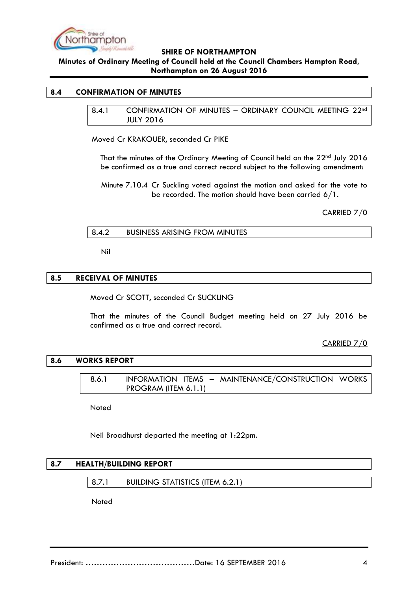

## **Minutes of Ordinary Meeting of Council held at the Council Chambers Hampton Road, Northampton on 26 August 2016**

#### <span id="page-3-1"></span><span id="page-3-0"></span>**8.4 CONFIRMATION OF MINUTES**

8.4.1 CONFIRMATION OF MINUTES – ORDINARY COUNCIL MEETING 22nd JULY 2016

Moved Cr KRAKOUER, seconded Cr PIKE

That the minutes of the Ordinary Meeting of Council held on the 22nd July 2016 be confirmed as a true and correct record subject to the following amendment:

Minute 7.10.4 Cr Suckling voted against the motion and asked for the vote to be recorded. The motion should have been carried 6/1.

CARRIED 7/0

<span id="page-3-2"></span>

| <b>BUSINESS ARISING FROM MINUTES</b><br>8.4.2 |  |
|-----------------------------------------------|--|
|-----------------------------------------------|--|

Nil

#### <span id="page-3-3"></span>**8.5 RECEIVAL OF MINUTES**

Moved Cr SCOTT, seconded Cr SUCKLING

That the minutes of the Council Budget meeting held on 27 July 2016 be confirmed as a true and correct record.

CARRIED 7/0

#### <span id="page-3-5"></span><span id="page-3-4"></span>**8.6 WORKS REPORT**

8.6.1 INFORMATION ITEMS – MAINTENANCE/CONSTRUCTION WORKS PROGRAM (ITEM 6.1.1)

Noted

Neil Broadhurst departed the meeting at 1:22pm.

#### <span id="page-3-7"></span><span id="page-3-6"></span>**8.7 HEALTH/BUILDING REPORT**

8.7.1 BUILDING STATISTICS (ITEM 6.2.1)

**Noted**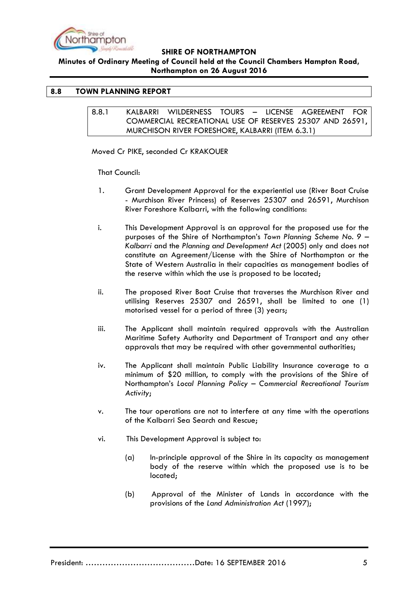

**Minutes of Ordinary Meeting of Council held at the Council Chambers Hampton Road, Northampton on 26 August 2016**

## <span id="page-4-1"></span><span id="page-4-0"></span>**8.8 TOWN PLANNING REPORT**

8.8.1 KALBARRI WILDERNESS TOURS – LICENSE AGREEMENT FOR COMMERCIAL RECREATIONAL USE OF RESERVES 25307 AND 26591, MURCHISON RIVER FORESHORE, KALBARRI (ITEM 6.3.1)

Moved Cr PIKE, seconded Cr KRAKOUER

That Council:

- 1. Grant Development Approval for the experiential use (River Boat Cruise - Murchison River Princess) of Reserves 25307 and 26591, Murchison River Foreshore Kalbarri, with the following conditions:
- i. This Development Approval is an approval for the proposed use for the purposes of the Shire of Northampton's *Town Planning Scheme No. 9 – Kalbarri* and the *Planning and Development Act* (2005) only and does not constitute an Agreement/License with the Shire of Northampton or the State of Western Australia in their capacities as management bodies of the reserve within which the use is proposed to be located;
- ii. The proposed River Boat Cruise that traverses the Murchison River and utilising Reserves 25307 and 26591, shall be limited to one (1) motorised vessel for a period of three (3) years;
- iii. The Applicant shall maintain required approvals with the Australian Maritime Safety Authority and Department of Transport and any other approvals that may be required with other governmental authorities;
- iv. The Applicant shall maintain Public Liability Insurance coverage to a minimum of \$20 million, to comply with the provisions of the Shire of Northampton's *Local Planning Policy – Commercial Recreational Tourism Activity*;
- v. The tour operations are not to interfere at any time with the operations of the Kalbarri Sea Search and Rescue;
- vi. This Development Approval is subject to:
	- (a) In-principle approval of the Shire in its capacity as management body of the reserve within which the proposed use is to be located;
	- (b) Approval of the Minister of Lands in accordance with the provisions of the *Land Administration Act* (1997);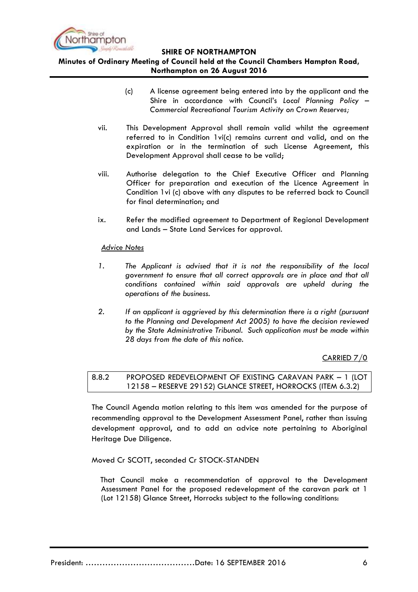

## **Minutes of Ordinary Meeting of Council held at the Council Chambers Hampton Road, Northampton on 26 August 2016**

- (c) A license agreement being entered into by the applicant and the Shire in accordance with Council's *Local Planning Policy – Commercial Recreational Tourism Activity on Crown Reserves;*
- vii. This Development Approval shall remain valid whilst the agreement referred to in Condition 1vi(c) remains current and valid, and on the expiration or in the termination of such License Agreement, this Development Approval shall cease to be valid;
- viii. Authorise delegation to the Chief Executive Officer and Planning Officer for preparation and execution of the Licence Agreement in Condition 1vi (c) above with any disputes to be referred back to Council for final determination; and
- ix. Refer the modified agreement to Department of Regional Development and Lands – State Land Services for approval.

#### *Advice Notes*

- *1. The Applicant is advised that it is not the responsibility of the local government to ensure that all correct approvals are in place and that all conditions contained within said approvals are upheld during the operations of the business.*
- *2. If an applicant is aggrieved by this determination there is a right (pursuant to the Planning and Development Act 2005) to have the decision reviewed by the State Administrative Tribunal. Such application must be made within 28 days from the date of this notice.*

CARRIED 7/0

<span id="page-5-0"></span>8.8.2 PROPOSED REDEVELOPMENT OF EXISTING CARAVAN PARK – 1 (LOT 12158 – RESERVE 29152) GLANCE STREET, HORROCKS (ITEM 6.3.2)

The Council Agenda motion relating to this item was amended for the purpose of recommending approval to the Development Assessment Panel, rather than issuing development approval, and to add an advice note pertaining to Aboriginal Heritage Due Diligence.

Moved Cr SCOTT, seconded Cr STOCK-STANDEN

That Council make a recommendation of approval to the Development Assessment Panel for the proposed redevelopment of the caravan park at 1 (Lot 12158) Glance Street, Horrocks subject to the following conditions: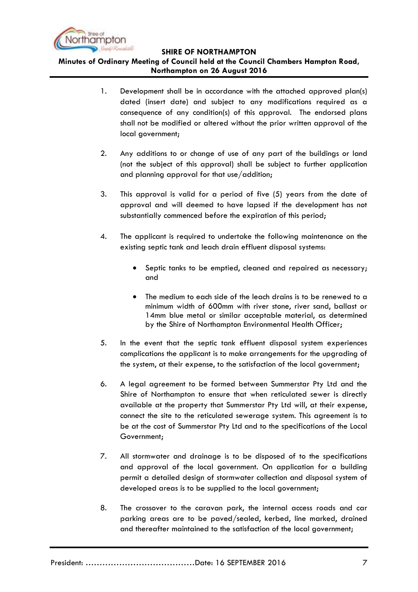

**Minutes of Ordinary Meeting of Council held at the Council Chambers Hampton Road, Northampton on 26 August 2016**

- 1. Development shall be in accordance with the attached approved plan(s) dated (insert date) and subject to any modifications required as a consequence of any condition(s) of this approval. The endorsed plans shall not be modified or altered without the prior written approval of the local government;
- 2. Any additions to or change of use of any part of the buildings or land (not the subject of this approval) shall be subject to further application and planning approval for that use/addition;
- 3. This approval is valid for a period of five (5) years from the date of approval and will deemed to have lapsed if the development has not substantially commenced before the expiration of this period;
- 4. The applicant is required to undertake the following maintenance on the existing septic tank and leach drain effluent disposal systems:
	- Septic tanks to be emptied, cleaned and repaired as necessary; and
	- The medium to each side of the leach drains is to be renewed to a minimum width of 600mm with river stone, river sand, ballast or 14mm blue metal or similar acceptable material, as determined by the Shire of Northampton Environmental Health Officer;
- 5. In the event that the septic tank effluent disposal system experiences complications the applicant is to make arrangements for the upgrading of the system, at their expense, to the satisfaction of the local government;
- 6. A legal agreement to be formed between Summerstar Pty Ltd and the Shire of Northampton to ensure that when reticulated sewer is directly available at the property that Summerstar Pty Ltd will, at their expense, connect the site to the reticulated sewerage system. This agreement is to be at the cost of Summerstar Pty Ltd and to the specifications of the Local Government;
- 7. All stormwater and drainage is to be disposed of to the specifications and approval of the local government. On application for a building permit a detailed design of stormwater collection and disposal system of developed areas is to be supplied to the local government;
- 8. The crossover to the caravan park, the internal access roads and car parking areas are to be paved/sealed, kerbed, line marked, drained and thereafter maintained to the satisfaction of the local government;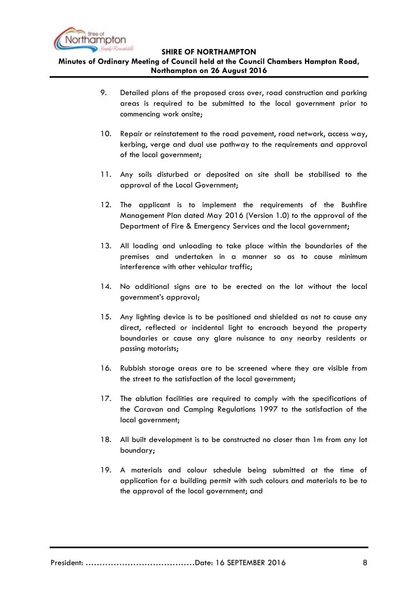

**Minutes of Ordinary Meeting of Council held at the Council Chambers Hampton Road, Northampton on 26 August 2016**

- 9. Detailed plans of the proposed cross over, road construction and parking areas is required to be submitted to the local government prior to commencing work onsite;
- 10. Repair or reinstatement to the road pavement, road network, access way, kerbing, verge and dual use pathway to the requirements and approval of the local government;
- 11. Any soils disturbed or deposited on site shall be stabilised to the approval of the Local Government;
- 12. The applicant is to implement the requirements of the Bushfire Management Plan dated May 2016 (Version 1.0) to the approval of the Department of Fire & Emergency Services and the local government;
- 13. All loading and unloading to take place within the boundaries of the premises and undertaken in a manner so as to cause minimum interference with other vehicular traffic;
- 14. No additional signs are to be erected on the lot without the local government's approval;
- 15. Any lighting device is to be positioned and shielded as not to cause any direct, reflected or incidental light to encroach beyond the property boundaries or cause any glare nuisance to any nearby residents or passing motorists;
- 16. Rubbish storage areas are to be screened where they are visible from the street to the satisfaction of the local government;
- 17. The ablution facilities are required to comply with the specifications of the Caravan and Camping Regulations 1997 to the satisfaction of the local government;
- 18. All built development is to be constructed no closer than 1m from any lot boundary;
- 19. A materials and colour schedule being submitted at the time of application for a building permit with such colours and materials to be to the approval of the local government; and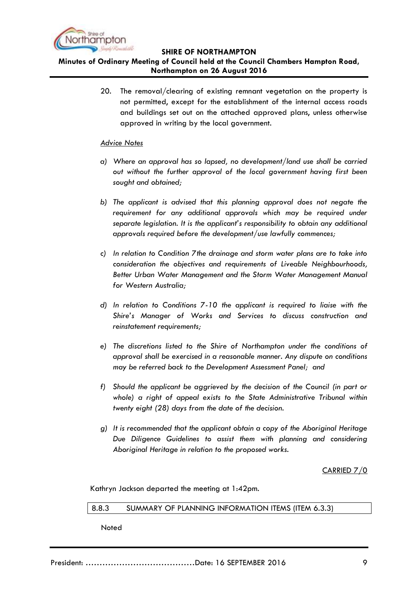

# **Minutes of Ordinary Meeting of Council held at the Council Chambers Hampton Road, Northampton on 26 August 2016**

20. The removal/clearing of existing remnant vegetation on the property is not permitted, except for the establishment of the internal access roads and buildings set out on the attached approved plans, unless otherwise approved in writing by the local government.

## *Advice Notes*

- *a) Where an approval has so lapsed, no development/land use shall be carried out without the further approval of the local government having first been sought and obtained;*
- *b) The applicant is advised that this planning approval does not negate the requirement for any additional approvals which may be required under separate legislation. It is the applicant's responsibility to obtain any additional approvals required before the development/use lawfully commences;*
- *c) In relation to Condition 7the drainage and storm water plans are to take into consideration the objectives and requirements of Liveable Neighbourhoods, Better Urban Water Management and the Storm Water Management Manual for Western Australia;*
- *d) In relation to Conditions 7-10 the applicant is required to liaise with the Shire's Manager of Works and Services to discuss construction and reinstatement requirements;*
- *e) The discretions listed to the Shire of Northampton under the conditions of approval shall be exercised in a reasonable manner. Any dispute on conditions may be referred back to the Development Assessment Panel; and*
- *f) Should the applicant be aggrieved by the decision of the Council (in part or whole) a right of appeal exists to the State Administrative Tribunal within twenty eight (28) days from the date of the decision.*
- *g) It is recommended that the applicant obtain a copy of the Aboriginal Heritage Due Diligence Guidelines to assist them with planning and considering Aboriginal Heritage in relation to the proposed works.*

#### CARRIED 7/0

Kathryn Jackson departed the meeting at 1:42pm.

## <span id="page-8-0"></span>8.8.3 SUMMARY OF PLANNING INFORMATION ITEMS (ITEM 6.3.3)

Noted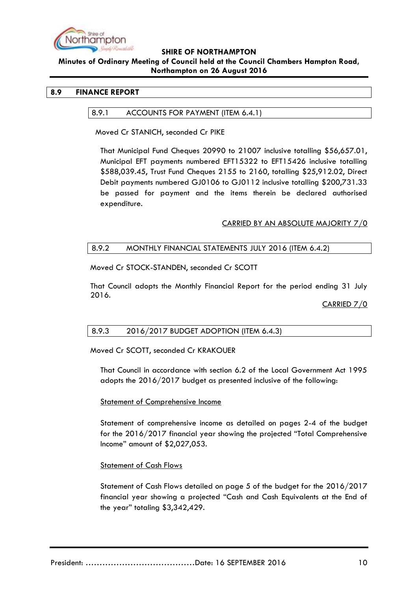

#### **Minutes of Ordinary Meeting of Council held at the Council Chambers Hampton Road, Northampton on 26 August 2016**

## <span id="page-9-1"></span><span id="page-9-0"></span>**8.9 FINANCE REPORT**

#### 8.9.1 ACCOUNTS FOR PAYMENT (ITEM 6.4.1)

Moved Cr STANICH, seconded Cr PIKE

That Municipal Fund Cheques 20990 to 21007 inclusive totalling \$56,657.01, Municipal EFT payments numbered EFT15322 to EFT15426 inclusive totalling \$588,039.45, Trust Fund Cheques 2155 to 2160, totalling \$25,912.02, Direct Debit payments numbered GJ0106 to GJ0112 inclusive totalling \$200,731.33 be passed for payment and the items therein be declared authorised expenditure.

#### CARRIED BY AN ABSOLUTE MAJORITY 7/0

#### <span id="page-9-2"></span>8.9.2 MONTHLY FINANCIAL STATEMENTS JULY 2016 (ITEM 6.4.2)

Moved Cr STOCK-STANDEN, seconded Cr SCOTT

That Council adopts the Monthly Financial Report for the period ending 31 July 2016.

CARRIED 7/0

## <span id="page-9-3"></span>8.9.3 2016/2017 BUDGET ADOPTION (ITEM 6.4.3)

Moved Cr SCOTT, seconded Cr KRAKOUER

That Council in accordance with section 6.2 of the Local Government Act 1995 adopts the 2016/2017 budget as presented inclusive of the following:

#### Statement of Comprehensive Income

Statement of comprehensive income as detailed on pages 2-4 of the budget for the 2016/2017 financial year showing the projected "Total Comprehensive Income" amount of \$2,027,053.

## Statement of Cash Flows

Statement of Cash Flows detailed on page 5 of the budget for the 2016/2017 financial year showing a projected "Cash and Cash Equivalents at the End of the year" totaling \$3,342,429.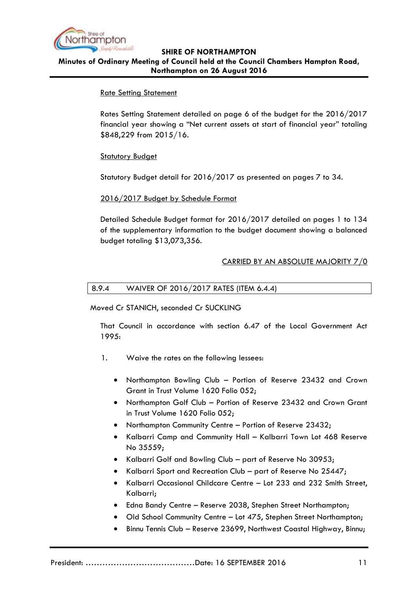

## **SHIRE OF NORTHAMPTON Minutes of Ordinary Meeting of Council held at the Council Chambers Hampton Road, Northampton on 26 August 2016**

## Rate Setting Statement

Rates Setting Statement detailed on page 6 of the budget for the 2016/2017 financial year showing a "Net current assets at start of financial year" totaling \$848,229 from 2015/16.

## **Statutory Budget**

Statutory Budget detail for 2016/2017 as presented on pages 7 to 34.

## 2016/2017 Budget by Schedule Format

Detailed Schedule Budget format for 2016/2017 detailed on pages 1 to 134 of the supplementary information to the budget document showing a balanced budget totaling \$13,073,356.

## CARRIED BY AN ABSOLUTE MAJORITY 7/0

## <span id="page-10-0"></span>8.9.4 WAIVER OF 2016/2017 RATES (ITEM 6.4.4)

Moved Cr STANICH, seconded Cr SUCKLING

That Council in accordance with section 6.47 of the Local Government Act 1995:

- 1. Waive the rates on the following lessees:
	- Northampton Bowling Club Portion of Reserve 23432 and Crown Grant in Trust Volume 1620 Folio 052;
	- Northampton Golf Club Portion of Reserve 23432 and Crown Grant in Trust Volume 1620 Folio 052;
	- Northampton Community Centre Portion of Reserve 23432;
	- Kalbarri Camp and Community Hall Kalbarri Town Lot 468 Reserve No 35559;
	- Kalbarri Golf and Bowling Club part of Reserve No 30953;
	- Kalbarri Sport and Recreation Club part of Reserve No 25447;
	- Kalbarri Occasional Childcare Centre Lot 233 and 232 Smith Street, Kalbarri;
	- Edna Bandy Centre Reserve 2038, Stephen Street Northampton;
	- Old School Community Centre Lot 475, Stephen Street Northampton;
	- Binnu Tennis Club Reserve 23699, Northwest Coastal Highway, Binnu;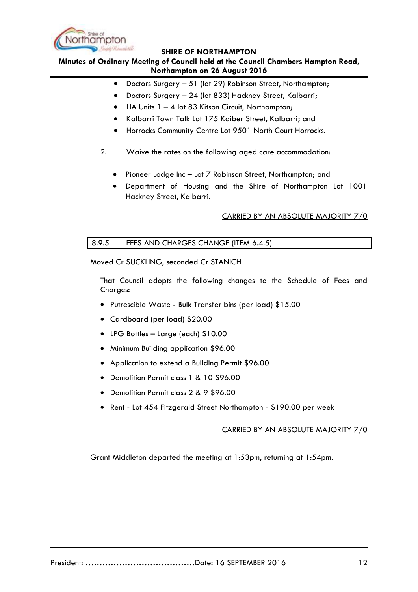

**Minutes of Ordinary Meeting of Council held at the Council Chambers Hampton Road, Northampton on 26 August 2016**

- Doctors Surgery 51 (lot 29) Robinson Street, Northampton;
- Doctors Surgery 24 (lot 833) Hackney Street, Kalbarri;
- LIA Units 1 4 lot 83 Kitson Circuit, Northampton;
- Kalbarri Town Talk Lot 175 Kaiber Street, Kalbarri; and
- Horrocks Community Centre Lot 9501 North Court Horrocks.
- 2. Waive the rates on the following aged care accommodation:
	- Pioneer Lodge Inc Lot 7 Robinson Street, Northampton; and
	- Department of Housing and the Shire of Northampton Lot 1001 Hackney Street, Kalbarri.

#### CARRIED BY AN ABSOLUTE MAJORITY 7/0

#### <span id="page-11-0"></span>8.9.5 FEES AND CHARGES CHANGE (ITEM 6.4.5)

Moved Cr SUCKLING, seconded Cr STANICH

That Council adopts the following changes to the Schedule of Fees and Charges:

- Putrescible Waste Bulk Transfer bins (per load) \$15.00
- Cardboard (per load) \$20.00
- LPG Bottles Large (each) \$10.00
- Minimum Building application \$96.00
- Application to extend a Building Permit \$96.00
- Demolition Permit class 1 & 10 \$96.00
- Demolition Permit class 2 & 9 \$96.00
- Rent Lot 454 Fitzgerald Street Northampton \$190.00 per week

#### CARRIED BY AN ABSOLUTE MAJORITY 7/0

Grant Middleton departed the meeting at 1:53pm, returning at 1:54pm.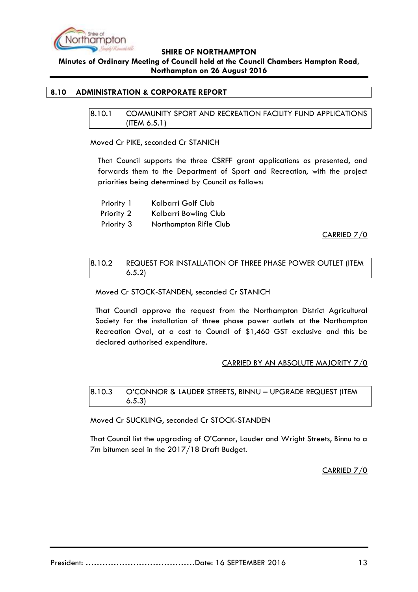

**Minutes of Ordinary Meeting of Council held at the Council Chambers Hampton Road, Northampton on 26 August 2016**

## <span id="page-12-1"></span><span id="page-12-0"></span>**8.10 ADMINISTRATION & CORPORATE REPORT**

8.10.1 COMMUNITY SPORT AND RECREATION FACILITY FUND APPLICATIONS (ITEM 6.5.1)

Moved Cr PIKE, seconded Cr STANICH

That Council supports the three CSRFF grant applications as presented, and forwards them to the Department of Sport and Recreation, with the project priorities being determined by Council as follows:

Priority 1 Kalbarri Golf Club

Priority 2 Kalbarri Bowling Club

Priority 3 Northampton Rifle Club

CARRIED 7/0

## <span id="page-12-2"></span>8.10.2 REQUEST FOR INSTALLATION OF THREE PHASE POWER OUTLET (ITEM 6.5.2)

Moved Cr STOCK-STANDEN, seconded Cr STANICH

That Council approve the request from the Northampton District Agricultural Society for the installation of three phase power outlets at the Northampton Recreation Oval, at a cost to Council of \$1,460 GST exclusive and this be declared authorised expenditure.

#### CARRIED BY AN ABSOLUTE MAJORITY 7/0

<span id="page-12-3"></span>8.10.3 O'CONNOR & LAUDER STREETS, BINNU – UPGRADE REQUEST (ITEM 6.5.3)

Moved Cr SUCKLING, seconded Cr STOCK-STANDEN

That Council list the upgrading of O'Connor, Lauder and Wright Streets, Binnu to a 7m bitumen seal in the 2017/18 Draft Budget.

CARRIED 7/0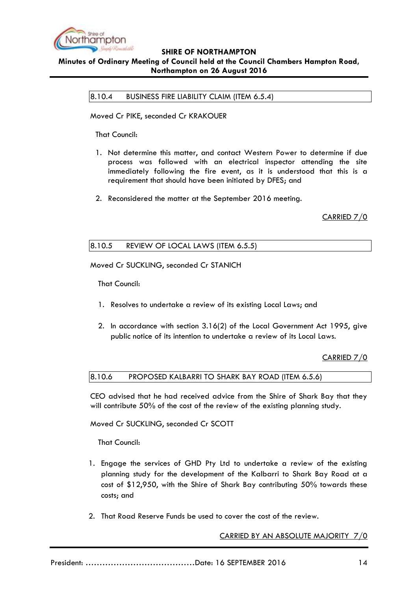

## <span id="page-13-0"></span>**SHIRE OF NORTHAMPTON Minutes of Ordinary Meeting of Council held at the Council Chambers Hampton Road, Northampton on 26 August 2016**

8.10.4 BUSINESS FIRE LIABILITY CLAIM (ITEM 6.5.4)

Moved Cr PIKE, seconded Cr KRAKOUER

That Council:

- 1. Not determine this matter, and contact Western Power to determine if due process was followed with an electrical inspector attending the site immediately following the fire event, as it is understood that this is a requirement that should have been initiated by DFES; and
- 2. Reconsidered the matter at the September 2016 meeting.

CARRIED 7/0

## <span id="page-13-1"></span>8.10.5 REVIEW OF LOCAL LAWS (ITEM 6.5.5)

Moved Cr SUCKLING, seconded Cr STANICH

That Council:

- 1. Resolves to undertake a review of its existing Local Laws; and
- 2. In accordance with section 3.16(2) of the Local Government Act 1995, give public notice of its intention to undertake a review of its Local Laws.

CARRIED 7/0

<span id="page-13-2"></span>8.10.6 PROPOSED KALBARRI TO SHARK BAY ROAD (ITEM 6.5.6)

CEO advised that he had received advice from the Shire of Shark Bay that they will contribute 50% of the cost of the review of the existing planning study.

Moved Cr SUCKLING, seconded Cr SCOTT

That Council:

- 1. Engage the services of GHD Pty Ltd to undertake a review of the existing planning study for the development of the Kalbarri to Shark Bay Road at a cost of \$12,950, with the Shire of Shark Bay contributing 50% towards these costs; and
- 2. That Road Reserve Funds be used to cover the cost of the review.

CARRIED BY AN ABSOLUTE MAJORITY 7/0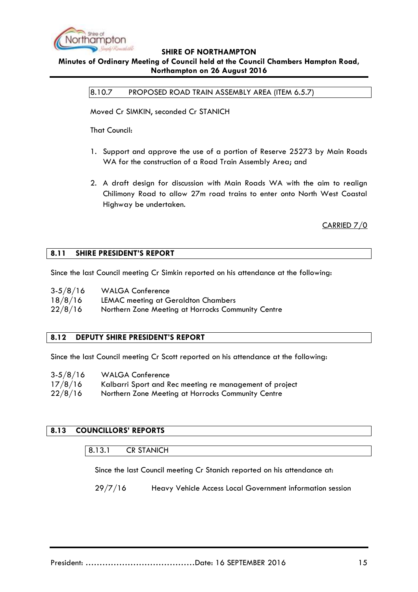

#### <span id="page-14-0"></span>**Minutes of Ordinary Meeting of Council held at the Council Chambers Hampton Road, Northampton on 26 August 2016**

8.10.7 PROPOSED ROAD TRAIN ASSEMBLY AREA (ITEM 6.5.7)

Moved Cr SIMKIN, seconded Cr STANICH

That Council:

- 1. Support and approve the use of a portion of Reserve 25273 by Main Roads WA for the construction of a Road Train Assembly Area; and
- 2. A draft design for discussion with Main Roads WA with the aim to realign Chilimony Road to allow 27m road trains to enter onto North West Coastal Highway be undertaken.

CARRIED 7/0

#### <span id="page-14-1"></span>**8.11 SHIRE PRESIDENT'S REPORT**

Since the last Council meeting Cr Simkin reported on his attendance at the following:

| $3-5/8/16$ | <b>WALGA Conference</b>                            |
|------------|----------------------------------------------------|
| 18/8/16    | LEMAC meeting at Geraldton Chambers                |
| 22/8/16    | Northern Zone Meeting at Horrocks Community Centre |

## <span id="page-14-2"></span>**8.12 DEPUTY SHIRE PRESIDENT'S REPORT**

Since the last Council meeting Cr Scott reported on his attendance at the following:

| $3-5/8/16$ | <b>WALGA Conference</b>                                 |
|------------|---------------------------------------------------------|
| 17/8/16    | Kalbarri Sport and Rec meeting re management of project |
| 22/8/16    | Northern Zone Meeting at Horrocks Community Centre      |

## <span id="page-14-4"></span><span id="page-14-3"></span>**8.13 COUNCILLORS' REPORTS**

#### 8.13.1 CR STANICH

Since the last Council meeting Cr Stanich reported on his attendance at:

29/7/16 Heavy Vehicle Access Local Government information session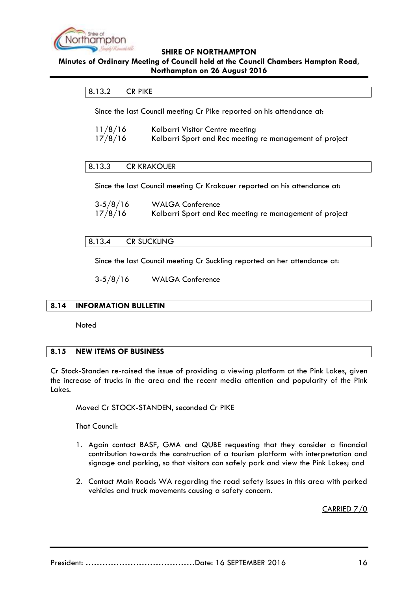

## <span id="page-15-0"></span>**Minutes of Ordinary Meeting of Council held at the Council Chambers Hampton Road, Northampton on 26 August 2016**

#### 8.13.2 CR PIKE

Since the last Council meeting Cr Pike reported on his attendance at:

| 11/8/16 | Kalbarri Visitor Centre meeting                         |
|---------|---------------------------------------------------------|
| 17/8/16 | Kalbarri Sport and Rec meeting re management of project |

#### <span id="page-15-1"></span>8.13.3 CR KRAKOUER

Since the last Council meeting Cr Krakouer reported on his attendance at:

| $3-5/8/16$ | <b>WALGA Conference</b>                                 |
|------------|---------------------------------------------------------|
| 17/8/16    | Kalbarri Sport and Rec meeting re management of project |

#### <span id="page-15-2"></span>8.13.4 CR SUCKLING

Since the last Council meeting Cr Suckling reported on her attendance at:

3-5/8/16 WALGA Conference

#### <span id="page-15-3"></span>**8.14 INFORMATION BULLETIN**

**Noted** 

#### <span id="page-15-4"></span>**8.15 NEW ITEMS OF BUSINESS**

Cr Stock-Standen re-raised the issue of providing a viewing platform at the Pink Lakes, given the increase of trucks in the area and the recent media attention and popularity of the Pink Lakes.

Moved Cr STOCK-STANDEN, seconded Cr PIKE

That Council:

- 1. Again contact BASF, GMA and QUBE requesting that they consider a financial contribution towards the construction of a tourism platform with interpretation and signage and parking, so that visitors can safely park and view the Pink Lakes; and
- 2. Contact Main Roads WA regarding the road safety issues in this area with parked vehicles and truck movements causing a safety concern.

CARRIED 7/0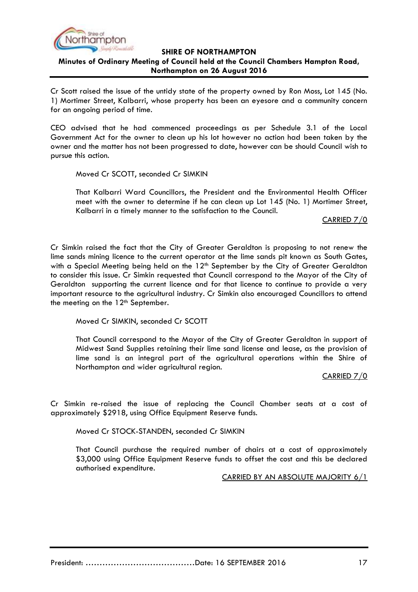

**Minutes of Ordinary Meeting of Council held at the Council Chambers Hampton Road, Northampton on 26 August 2016**

Cr Scott raised the issue of the untidy state of the property owned by Ron Moss, Lot 145 (No. 1) Mortimer Street, Kalbarri, whose property has been an eyesore and a community concern for an ongoing period of time.

CEO advised that he had commenced proceedings as per Schedule 3.1 of the Local Government Act for the owner to clean up his lot however no action had been taken by the owner and the matter has not been progressed to date, however can be should Council wish to pursue this action.

Moved Cr SCOTT, seconded Cr SIMKIN

That Kalbarri Ward Councillors, the President and the Environmental Health Officer meet with the owner to determine if he can clean up Lot 145 (No. 1) Mortimer Street, Kalbarri in a timely manner to the satisfaction to the Council.

CARRIED 7/0

Cr Simkin raised the fact that the City of Greater Geraldton is proposing to not renew the lime sands mining licence to the current operator at the lime sands pit known as South Gates, with a Special Meeting being held on the 12<sup>th</sup> September by the City of Greater Geraldton to consider this issue. Cr Simkin requested that Council correspond to the Mayor of the City of Geraldton supporting the current licence and for that licence to continue to provide a very important resource to the agricultural industry. Cr Simkin also encouraged Councillors to attend the meeting on the  $12<sup>th</sup>$  September.

Moved Cr SIMKIN, seconded Cr SCOTT

That Council correspond to the Mayor of the City of Greater Geraldton in support of Midwest Sand Supplies retaining their lime sand license and lease, as the provision of lime sand is an integral part of the agricultural operations within the Shire of Northampton and wider agricultural region.

CARRIED 7/0

Cr Simkin re-raised the issue of replacing the Council Chamber seats at a cost of approximately \$2918, using Office Equipment Reserve funds.

Moved Cr STOCK-STANDEN, seconded Cr SIMKIN

That Council purchase the required number of chairs at a cost of approximately \$3,000 using Office Equipment Reserve funds to offset the cost and this be declared authorised expenditure.

CARRIED BY AN ABSOLUTE MAJORITY 6/1